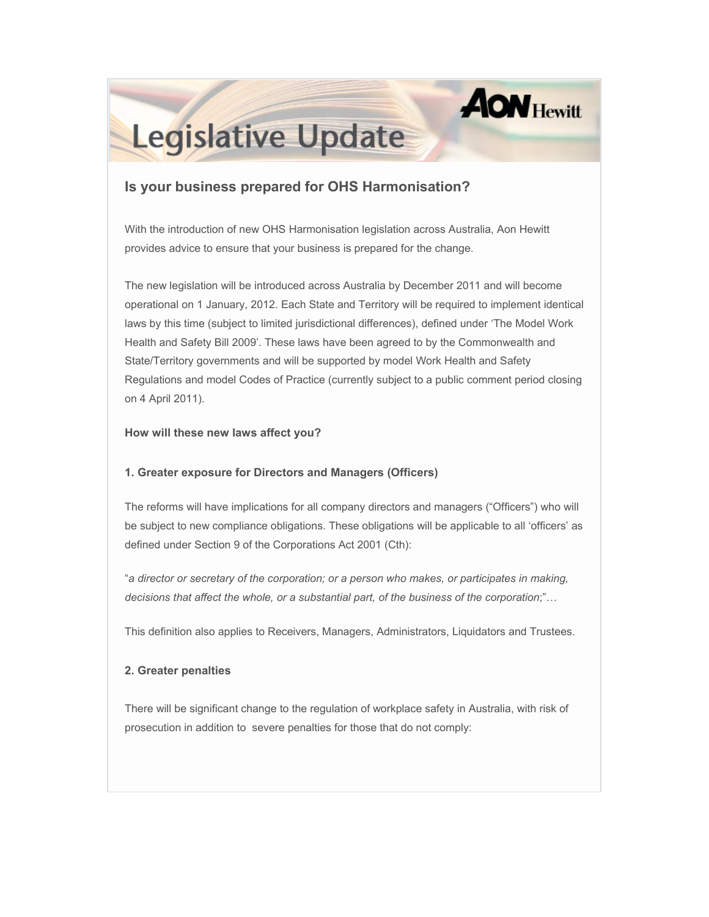# **AON Hewitt**

## **Legislative Update**

### **Is your business prepared for OHS Harmonisation?**

With the introduction of new OHS Harmonisation legislation across Australia, Aon Hewitt provides advice to ensure that your business is prepared for the change.

The new legislation will be introduced across Australia by December 2011 and will become operational on 1 January, 2012. Each State and Territory will be required to implement identical laws by this time (subject to limited jurisdictional differences), defined under 'The Model Work Health and Safety Bill 2009'. These laws have been agreed to by the Commonwealth and State/Territory governments and will be supported by model Work Health and Safety Regulations and model Codes of Practice (currently subject to a public comment period closing on 4 April 2011).

#### **How will these new laws affect you?**

#### **1. Greater exposure for Directors and Managers (Officers)**

The reforms will have implications for all company directors and managers ("Officers") who will be subject to new compliance obligations. These obligations will be applicable to all 'officers' as defined under Section 9 of the Corporations Act 2001 (Cth):

"*a director or secretary of the corporation; or a person who makes, or participates in making, decisions that affect the whole, or a substantial part, of the business of the corporation*;"…

This definition also applies to Receivers, Managers, Administrators, Liquidators and Trustees.

#### **2. Greater penalties**

There will be significant change to the regulation of workplace safety in Australia, with risk of prosecution in addition to severe penalties for those that do not comply: